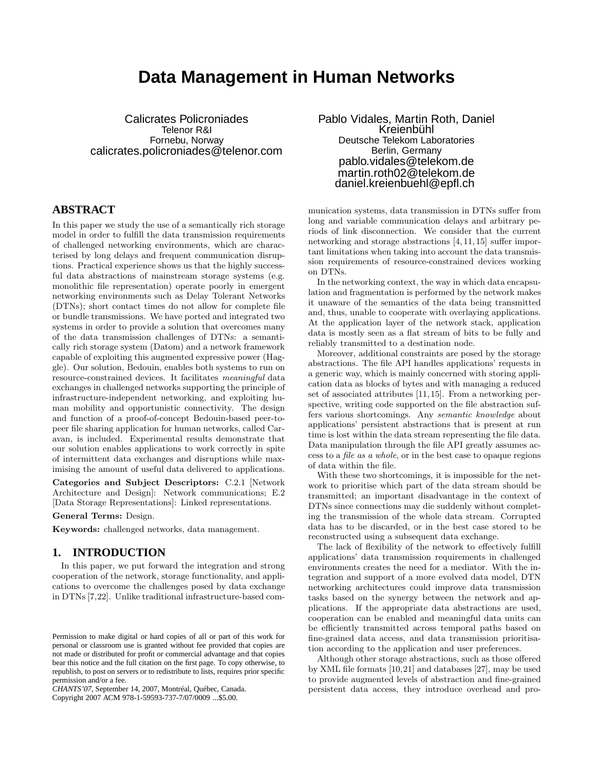# **Data Management in Human Networks**

Calicrates Policroniades Telenor R&I Fornebu, Norway calicrates.policroniades@telenor.com

## **ABSTRACT**

In this paper we study the use of a semantically rich storage model in order to fulfill the data transmission requirements of challenged networking environments, which are characterised by long delays and frequent communication disruptions. Practical experience shows us that the highly successful data abstractions of mainstream storage systems (e.g. monolithic file representation) operate poorly in emergent networking environments such as Delay Tolerant Networks (DTNs); short contact times do not allow for complete file or bundle transmissions. We have ported and integrated two systems in order to provide a solution that overcomes many of the data transmission challenges of DTNs: a semantically rich storage system (Datom) and a network framework capable of exploiting this augmented expressive power (Haggle). Our solution, Bedouin, enables both systems to run on resource-constrained devices. It facilitates meaningful data exchanges in challenged networks supporting the principle of infrastructure-independent networking, and exploiting human mobility and opportunistic connectivity. The design and function of a proof-of-concept Bedouin-based peer-topeer file sharing application for human networks, called Caravan, is included. Experimental results demonstrate that our solution enables applications to work correctly in spite of intermittent data exchanges and disruptions while maximising the amount of useful data delivered to applications.

Categories and Subject Descriptors: C.2.1 [Network Architecture and Design]: Network communications; E.2 [Data Storage Representations]: Linked representations.

General Terms: Design.

Keywords: challenged networks, data management.

#### **1. INTRODUCTION**

In this paper, we put forward the integration and strong cooperation of the network, storage functionality, and applications to overcome the challenges posed by data exchange in DTNs [7,22]. Unlike traditional infrastructure-based com-

*CHANTS'07,* September 14, 2007, Montréal, Québec, Canada.

Copyright 2007 ACM 978-1-59593-737-7/07/0009 ...\$5.00.

Pablo Vidales, Martin Roth, Daniel Kreienbühl Deutsche Telekom Laboratories Berlin, Germany pablo.vidales@telekom.de martin.roth02@telekom.de daniel.kreienbuehl@epfl.ch

munication systems, data transmission in DTNs suffer from long and variable communication delays and arbitrary periods of link disconnection. We consider that the current networking and storage abstractions [4, 11, 15] suffer important limitations when taking into account the data transmission requirements of resource-constrained devices working on DTNs.

In the networking context, the way in which data encapsulation and fragmentation is performed by the network makes it unaware of the semantics of the data being transmitted and, thus, unable to cooperate with overlaying applications. At the application layer of the network stack, application data is mostly seen as a flat stream of bits to be fully and reliably transmitted to a destination node.

Moreover, additional constraints are posed by the storage abstractions. The file API handles applications' requests in a generic way, which is mainly concerned with storing application data as blocks of bytes and with managing a reduced set of associated attributes [11, 15]. From a networking perspective, writing code supported on the file abstraction suffers various shortcomings. Any semantic knowledge about applications' persistent abstractions that is present at run time is lost within the data stream representing the file data. Data manipulation through the file API greatly assumes access to a file as a whole, or in the best case to opaque regions of data within the file.

With these two shortcomings, it is impossible for the network to prioritise which part of the data stream should be transmitted; an important disadvantage in the context of DTNs since connections may die suddenly without completing the transmission of the whole data stream. Corrupted data has to be discarded, or in the best case stored to be reconstructed using a subsequent data exchange.

The lack of flexibility of the network to effectively fulfill applications' data transmission requirements in challenged environments creates the need for a mediator. With the integration and support of a more evolved data model, DTN networking architectures could improve data transmission tasks based on the synergy between the network and applications. If the appropriate data abstractions are used, cooperation can be enabled and meaningful data units can be efficiently transmitted across temporal paths based on fine-grained data access, and data transmission prioritisation according to the application and user preferences.

Although other storage abstractions, such as those offered by XML file formats [10,21] and databases [27], may be used to provide augmented levels of abstraction and fine-grained persistent data access, they introduce overhead and pro-

Permission to make digital or hard copies of all or part of this work for personal or classroom use is granted without fee provided that copies are not made or distributed for profit or commercial advantage and that copies bear this notice and the full citation on the first page. To copy otherwise, to republish, to post on servers or to redistribute to lists, requires prior specific permission and/or a fee.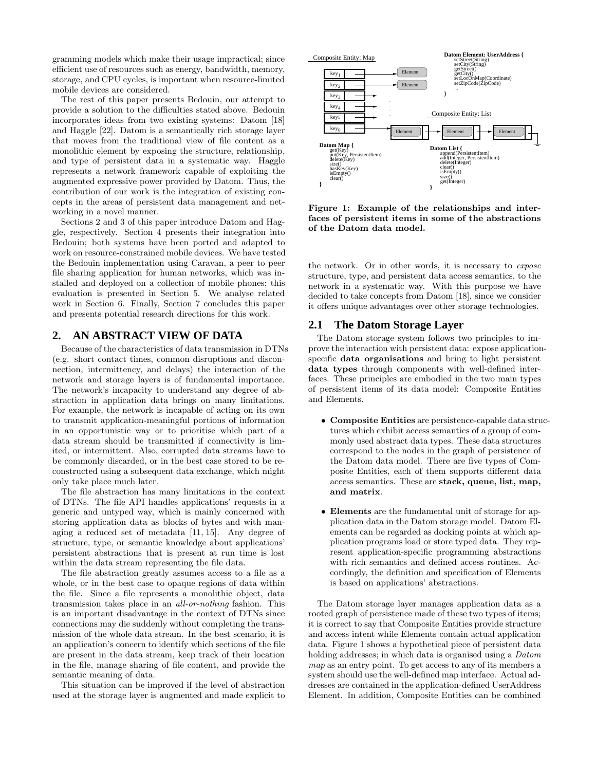gramming models which make their usage impractical; since efficient use of resources such as energy, bandwidth, memory, storage, and CPU cycles, is important when resource-limited mobile devices are considered.

The rest of this paper presents Bedouin, our attempt to provide a solution to the difficulties stated above. Bedouin incorporates ideas from two existing systems: Datom [18] and Haggle [22]. Datom is a semantically rich storage layer that moves from the traditional view of file content as a monolithic element by exposing the structure, relationship, and type of persistent data in a systematic way. Haggle represents a network framework capable of exploiting the augmented expressive power provided by Datom. Thus, the contribution of our work is the integration of existing concepts in the areas of persistent data management and networking in a novel manner.

Sections 2 and 3 of this paper introduce Datom and Haggle, respectively. Section 4 presents their integration into Bedouin; both systems have been ported and adapted to work on resource-constrained mobile devices. We have tested the Bedouin implementation using Caravan, a peer to peer file sharing application for human networks, which was installed and deployed on a collection of mobile phones; this evaluation is presented in Section 5. We analyse related work in Section 6. Finally, Section 7 concludes this paper and presents potential research directions for this work.

#### **2. AN ABSTRACT VIEW OF DATA**

Because of the characteristics of data transmission in DTNs (e.g. short contact times, common disruptions and disconnection, intermittency, and delays) the interaction of the network and storage layers is of fundamental importance. The network's incapacity to understand any degree of abstraction in application data brings on many limitations. For example, the network is incapable of acting on its own to transmit application-meaningful portions of information in an opportunistic way or to prioritise which part of a data stream should be transmitted if connectivity is limited, or intermittent. Also, corrupted data streams have to be commonly discarded, or in the best case stored to be reconstructed using a subsequent data exchange, which might only take place much later.

The file abstraction has many limitations in the context of DTNs. The file API handles applications' requests in a generic and untyped way, which is mainly concerned with storing application data as blocks of bytes and with managing a reduced set of metadata [11, 15]. Any degree of structure, type, or semantic knowledge about applications' persistent abstractions that is present at run time is lost within the data stream representing the file data.

The file abstraction greatly assumes access to a file as a whole, or in the best case to opaque regions of data within the file. Since a file represents a monolithic object, data transmission takes place in an all-or-nothing fashion. This is an important disadvantage in the context of DTNs since connections may die suddenly without completing the transmission of the whole data stream. In the best scenario, it is an application's concern to identify which sections of the file are present in the data stream, keep track of their location in the file, manage sharing of file content, and provide the semantic meaning of data.

This situation can be improved if the level of abstraction used at the storage layer is augmented and made explicit to



Figure 1: Example of the relationships and interfaces of persistent items in some of the abstractions of the Datom data model.

the network. Or in other words, it is necessary to expose structure, type, and persistent data access semantics, to the network in a systematic way. With this purpose we have decided to take concepts from Datom [18], since we consider it offers unique advantages over other storage technologies.

#### **2.1 The Datom Storage Layer**

The Datom storage system follows two principles to improve the interaction with persistent data: expose applicationspecific data organisations and bring to light persistent data types through components with well-defined interfaces. These principles are embodied in the two main types of persistent items of its data model: Composite Entities and Elements.

- Composite Entities are persistence-capable data structures which exhibit access semantics of a group of commonly used abstract data types. These data structures correspond to the nodes in the graph of persistence of the Datom data model. There are five types of Composite Entities, each of them supports different data access semantics. These are stack, queue, list, map, and matrix.
- Elements are the fundamental unit of storage for application data in the Datom storage model. Datom Elements can be regarded as docking points at which application programs load or store typed data. They represent application-specific programming abstractions with rich semantics and defined access routines. Accordingly, the definition and specification of Elements is based on applications' abstractions.

The Datom storage layer manages application data as a rooted graph of persistence made of these two types of items; it is correct to say that Composite Entities provide structure and access intent while Elements contain actual application data. Figure 1 shows a hypothetical piece of persistent data holding addresses; in which data is organised using a *Datom* map as an entry point. To get access to any of its members a system should use the well-defined map interface. Actual addresses are contained in the application-defined UserAddress Element. In addition, Composite Entities can be combined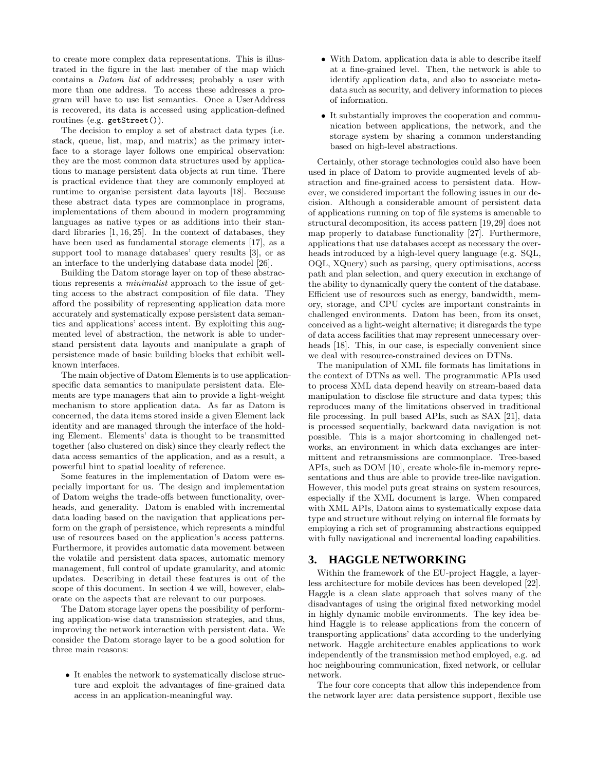to create more complex data representations. This is illustrated in the figure in the last member of the map which contains a Datom list of addresses; probably a user with more than one address. To access these addresses a program will have to use list semantics. Once a UserAddress is recovered, its data is accessed using application-defined routines (e.g. getStreet()).

The decision to employ a set of abstract data types (i.e. stack, queue, list, map, and matrix) as the primary interface to a storage layer follows one empirical observation: they are the most common data structures used by applications to manage persistent data objects at run time. There is practical evidence that they are commonly employed at runtime to organise persistent data layouts [18]. Because these abstract data types are commonplace in programs, implementations of them abound in modern programming languages as native types or as additions into their standard libraries [1, 16, 25]. In the context of databases, they have been used as fundamental storage elements [17], as a support tool to manage databases' query results [3], or as an interface to the underlying database data model [26].

Building the Datom storage layer on top of these abstractions represents a minimalist approach to the issue of getting access to the abstract composition of file data. They afford the possibility of representing application data more accurately and systematically expose persistent data semantics and applications' access intent. By exploiting this augmented level of abstraction, the network is able to understand persistent data layouts and manipulate a graph of persistence made of basic building blocks that exhibit wellknown interfaces.

The main objective of Datom Elements is to use applicationspecific data semantics to manipulate persistent data. Elements are type managers that aim to provide a light-weight mechanism to store application data. As far as Datom is concerned, the data items stored inside a given Element lack identity and are managed through the interface of the holding Element. Elements' data is thought to be transmitted together (also clustered on disk) since they clearly reflect the data access semantics of the application, and as a result, a powerful hint to spatial locality of reference.

Some features in the implementation of Datom were especially important for us. The design and implementation of Datom weighs the trade-offs between functionality, overheads, and generality. Datom is enabled with incremental data loading based on the navigation that applications perform on the graph of persistence, which represents a mindful use of resources based on the application's access patterns. Furthermore, it provides automatic data movement between the volatile and persistent data spaces, automatic memory management, full control of update granularity, and atomic updates. Describing in detail these features is out of the scope of this document. In section 4 we will, however, elaborate on the aspects that are relevant to our purposes.

The Datom storage layer opens the possibility of performing application-wise data transmission strategies, and thus, improving the network interaction with persistent data. We consider the Datom storage layer to be a good solution for three main reasons:

• It enables the network to systematically disclose structure and exploit the advantages of fine-grained data access in an application-meaningful way.

- With Datom, application data is able to describe itself at a fine-grained level. Then, the network is able to identify application data, and also to associate metadata such as security, and delivery information to pieces of information.
- It substantially improves the cooperation and communication between applications, the network, and the storage system by sharing a common understanding based on high-level abstractions.

Certainly, other storage technologies could also have been used in place of Datom to provide augmented levels of abstraction and fine-grained access to persistent data. However, we considered important the following issues in our decision. Although a considerable amount of persistent data of applications running on top of file systems is amenable to structural decomposition, its access pattern [19,29] does not map properly to database functionality [27]. Furthermore, applications that use databases accept as necessary the overheads introduced by a high-level query language (e.g. SQL, OQL, XQuery) such as parsing, query optimisations, access path and plan selection, and query execution in exchange of the ability to dynamically query the content of the database. Efficient use of resources such as energy, bandwidth, memory, storage, and CPU cycles are important constraints in challenged environments. Datom has been, from its onset, conceived as a light-weight alternative; it disregards the type of data access facilities that may represent unnecessary overheads [18]. This, in our case, is especially convenient since we deal with resource-constrained devices on DTNs.

The manipulation of XML file formats has limitations in the context of DTNs as well. The programmatic APIs used to process XML data depend heavily on stream-based data manipulation to disclose file structure and data types; this reproduces many of the limitations observed in traditional file processing. In pull based APIs, such as SAX [21], data is processed sequentially, backward data navigation is not possible. This is a major shortcoming in challenged networks, an environment in which data exchanges are intermittent and retransmissions are commonplace. Tree-based APIs, such as DOM [10], create whole-file in-memory representations and thus are able to provide tree-like navigation. However, this model puts great strains on system resources, especially if the XML document is large. When compared with XML APIs, Datom aims to systematically expose data type and structure without relying on internal file formats by employing a rich set of programming abstractions equipped with fully navigational and incremental loading capabilities.

#### **3. HAGGLE NETWORKING**

Within the framework of the EU-project Haggle, a layerless architecture for mobile devices has been developed [22]. Haggle is a clean slate approach that solves many of the disadvantages of using the original fixed networking model in highly dynamic mobile environments. The key idea behind Haggle is to release applications from the concern of transporting applications' data according to the underlying network. Haggle architecture enables applications to work independently of the transmission method employed, e.g. ad hoc neighbouring communication, fixed network, or cellular network.

The four core concepts that allow this independence from the network layer are: data persistence support, flexible use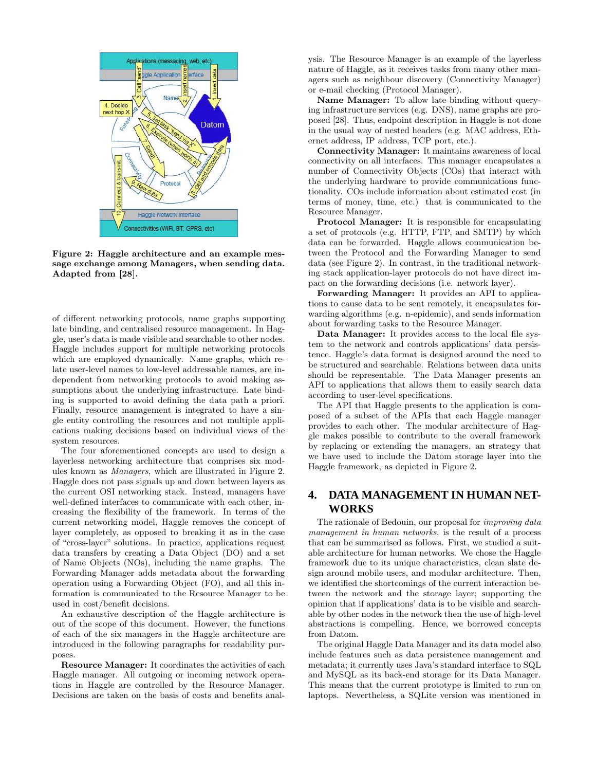

Figure 2: Haggle architecture and an example message exchange among Managers, when sending data. Adapted from [28].

of different networking protocols, name graphs supporting late binding, and centralised resource management. In Haggle, user's data is made visible and searchable to other nodes. Haggle includes support for multiple networking protocols which are employed dynamically. Name graphs, which relate user-level names to low-level addressable names, are independent from networking protocols to avoid making assumptions about the underlying infrastructure. Late binding is supported to avoid defining the data path a priori. Finally, resource management is integrated to have a single entity controlling the resources and not multiple applications making decisions based on individual views of the system resources.

The four aforementioned concepts are used to design a layerless networking architecture that comprises six modules known as Managers, which are illustrated in Figure 2. Haggle does not pass signals up and down between layers as the current OSI networking stack. Instead, managers have well-defined interfaces to communicate with each other, increasing the flexibility of the framework. In terms of the current networking model, Haggle removes the concept of layer completely, as opposed to breaking it as in the case of "cross-layer" solutions. In practice, applications request data transfers by creating a Data Object (DO) and a set of Name Objects (NOs), including the name graphs. The Forwarding Manager adds metadata about the forwarding operation using a Forwarding Object (FO), and all this information is communicated to the Resource Manager to be used in cost/benefit decisions.

An exhaustive description of the Haggle architecture is out of the scope of this document. However, the functions of each of the six managers in the Haggle architecture are introduced in the following paragraphs for readability purposes.

Resource Manager: It coordinates the activities of each Haggle manager. All outgoing or incoming network operations in Haggle are controlled by the Resource Manager. Decisions are taken on the basis of costs and benefits analysis. The Resource Manager is an example of the layerless nature of Haggle, as it receives tasks from many other managers such as neighbour discovery (Connectivity Manager) or e-mail checking (Protocol Manager).

Name Manager: To allow late binding without querying infrastructure services (e.g. DNS), name graphs are proposed [28]. Thus, endpoint description in Haggle is not done in the usual way of nested headers (e.g. MAC address, Ethernet address, IP address, TCP port, etc.).

Connectivity Manager: It maintains awareness of local connectivity on all interfaces. This manager encapsulates a number of Connectivity Objects (COs) that interact with the underlying hardware to provide communications functionality. COs include information about estimated cost (in terms of money, time, etc.) that is communicated to the Resource Manager.

Protocol Manager: It is responsible for encapsulating a set of protocols (e.g. HTTP, FTP, and SMTP) by which data can be forwarded. Haggle allows communication between the Protocol and the Forwarding Manager to send data (see Figure 2). In contrast, in the traditional networking stack application-layer protocols do not have direct impact on the forwarding decisions (i.e. network layer).

Forwarding Manager: It provides an API to applications to cause data to be sent remotely, it encapsulates forwarding algorithms (e.g. n-epidemic), and sends information about forwarding tasks to the Resource Manager.

Data Manager: It provides access to the local file system to the network and controls applications' data persistence. Haggle's data format is designed around the need to be structured and searchable. Relations between data units should be representable. The Data Manager presents an API to applications that allows them to easily search data according to user-level specifications.

The API that Haggle presents to the application is composed of a subset of the APIs that each Haggle manager provides to each other. The modular architecture of Haggle makes possible to contribute to the overall framework by replacing or extending the managers, an strategy that we have used to include the Datom storage layer into the Haggle framework, as depicted in Figure 2.

# **4. DATA MANAGEMENT IN HUMAN NET-WORKS**

The rationale of Bedouin, our proposal for improving data management in human networks, is the result of a process that can be summarised as follows. First, we studied a suitable architecture for human networks. We chose the Haggle framework due to its unique characteristics, clean slate design around mobile users, and modular architecture. Then, we identified the shortcomings of the current interaction between the network and the storage layer; supporting the opinion that if applications' data is to be visible and searchable by other nodes in the network then the use of high-level abstractions is compelling. Hence, we borrowed concepts from Datom.

The original Haggle Data Manager and its data model also include features such as data persistence management and metadata; it currently uses Java's standard interface to SQL and MySQL as its back-end storage for its Data Manager. This means that the current prototype is limited to run on laptops. Nevertheless, a SQLite version was mentioned in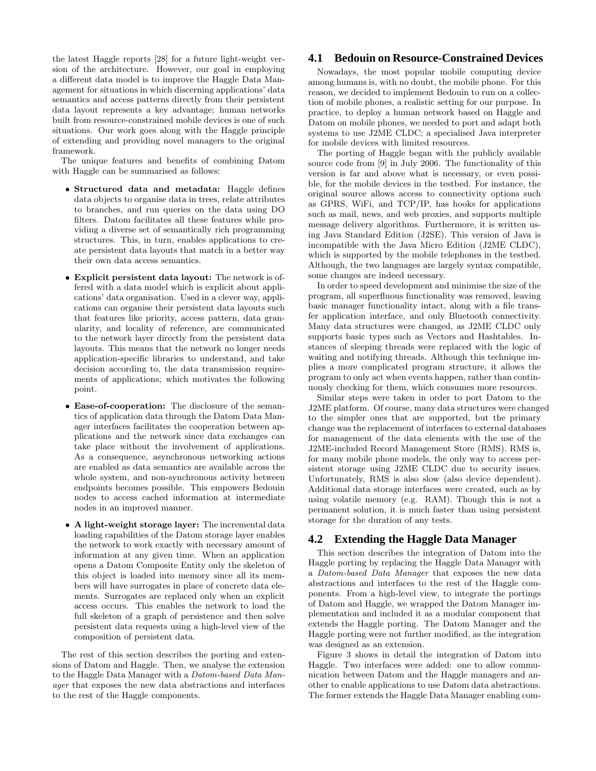the latest Haggle reports [28] for a future light-weight version of the architecture. However, our goal in employing a different data model is to improve the Haggle Data Management for situations in which discerning applications' data semantics and access patterns directly from their persistent data layout represents a key advantage; human networks built from resource-constrained mobile devices is one of such situations. Our work goes along with the Haggle principle of extending and providing novel managers to the original framework.

The unique features and benefits of combining Datom with Haggle can be summarised as follows:

- Structured data and metadata: Haggle defines data objects to organise data in trees, relate attributes to branches, and run queries on the data using DO filters. Datom facilitates all these features while providing a diverse set of semantically rich programming structures. This, in turn, enables applications to create persistent data layouts that match in a better way their own data access semantics.
- Explicit persistent data layout: The network is offered with a data model which is explicit about applications' data organisation. Used in a clever way, applications can organise their persistent data layouts such that features like priority, access pattern, data granularity, and locality of reference, are communicated to the network layer directly from the persistent data layouts. This means that the network no longer needs application-specific libraries to understand, and take decision according to, the data transmission requirements of applications; which motivates the following point.
- Ease-of-cooperation: The disclosure of the semantics of application data through the Datom Data Manager interfaces facilitates the cooperation between applications and the network since data exchanges can take place without the involvement of applications. As a consequence, asynchronous networking actions are enabled as data semantics are available across the whole system, and non-synchronous activity between endpoints becomes possible. This empowers Bedouin nodes to access cached information at intermediate nodes in an improved manner.
- A light-weight storage layer: The incremental data loading capabilities of the Datom storage layer enables the network to work exactly with necessary amount of information at any given time. When an application opens a Datom Composite Entity only the skeleton of this object is loaded into memory since all its members will have surrogates in place of concrete data elements. Surrogates are replaced only when an explicit access occurs. This enables the network to load the full skeleton of a graph of persistence and then solve persistent data requests using a high-level view of the composition of persistent data.

The rest of this section describes the porting and extensions of Datom and Haggle. Then, we analyse the extension to the Haggle Data Manager with a Datom-based Data Manager that exposes the new data abstractions and interfaces to the rest of the Haggle components.

#### **4.1 Bedouin on Resource-Constrained Devices**

Nowadays, the most popular mobile computing device among humans is, with no doubt, the mobile phone. For this reason, we decided to implement Bedouin to run on a collection of mobile phones, a realistic setting for our purpose. In practice, to deploy a human network based on Haggle and Datom on mobile phones, we needed to port and adapt both systems to use J2ME CLDC; a specialised Java interpreter for mobile devices with limited resources.

The porting of Haggle began with the publicly available source code from [9] in July 2006. The functionality of this version is far and above what is necessary, or even possible, for the mobile devices in the testbed. For instance, the original source allows access to connectivity options such as GPRS, WiFi, and TCP/IP, has hooks for applications such as mail, news, and web proxies, and supports multiple message delivery algorithms. Furthermore, it is written using Java Standard Edition (J2SE). This version of Java is incompatible with the Java Micro Edition (J2ME CLDC), which is supported by the mobile telephones in the testbed. Although, the two languages are largely syntax compatible, some changes are indeed necessary.

In order to speed development and minimise the size of the program, all superfluous functionality was removed, leaving basic manager functionality intact, along with a file transfer application interface, and only Bluetooth connectivity. Many data structures were changed, as J2ME CLDC only supports basic types such as Vectors and Hashtables. Instances of sleeping threads were replaced with the logic of waiting and notifying threads. Although this technique implies a more complicated program structure, it allows the program to only act when events happen, rather than continuously checking for them, which consumes more resources.

Similar steps were taken in order to port Datom to the J2ME platform. Of course, many data structures were changed to the simpler ones that are supported, but the primary change was the replacement of interfaces to external databases for management of the data elements with the use of the J2ME-included Record Management Store (RMS). RMS is, for many mobile phone models, the only way to access persistent storage using J2ME CLDC due to security issues. Unfortunately, RMS is also slow (also device dependent). Additional data storage interfaces were created, such as by using volatile memory (e.g. RAM). Though this is not a permanent solution, it is much faster than using persistent storage for the duration of any tests.

#### **4.2 Extending the Haggle Data Manager**

This section describes the integration of Datom into the Haggle porting by replacing the Haggle Data Manager with a Datom-based Data Manager that exposes the new data abstractions and interfaces to the rest of the Haggle components. From a high-level view, to integrate the portings of Datom and Haggle, we wrapped the Datom Manager implementation and included it as a modular component that extends the Haggle porting. The Datom Manager and the Haggle porting were not further modified, as the integration was designed as an extension.

Figure 3 shows in detail the integration of Datom into Haggle. Two interfaces were added: one to allow communication between Datom and the Haggle managers and another to enable applications to use Datom data abstractions. The former extends the Haggle Data Manager enabling com-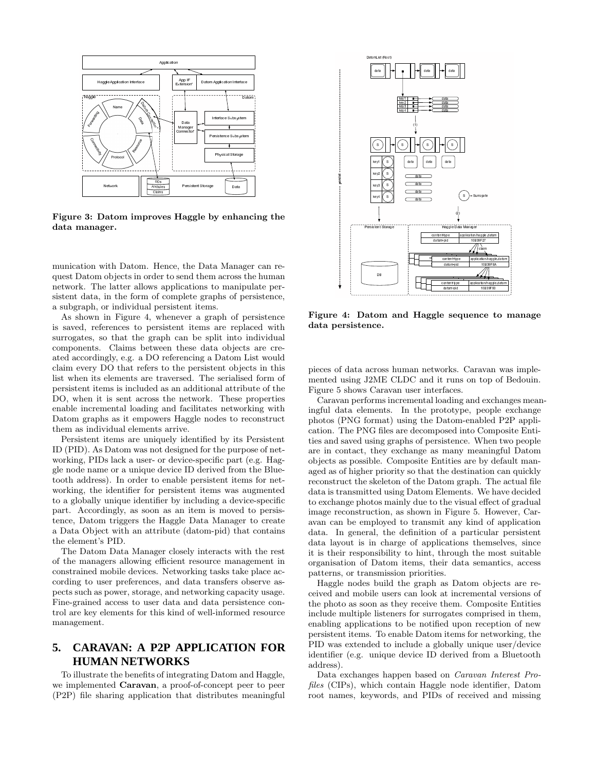

Figure 3: Datom improves Haggle by enhancing the data manager.

munication with Datom. Hence, the Data Manager can request Datom objects in order to send them across the human network. The latter allows applications to manipulate persistent data, in the form of complete graphs of persistence, a subgraph, or individual persistent items.

As shown in Figure 4, whenever a graph of persistence is saved, references to persistent items are replaced with surrogates, so that the graph can be split into individual components. Claims between these data objects are created accordingly, e.g. a DO referencing a Datom List would claim every DO that refers to the persistent objects in this list when its elements are traversed. The serialised form of persistent items is included as an additional attribute of the DO, when it is sent across the network. These properties enable incremental loading and facilitates networking with Datom graphs as it empowers Haggle nodes to reconstruct them as individual elements arrive.

Persistent items are uniquely identified by its Persistent ID (PID). As Datom was not designed for the purpose of networking, PIDs lack a user- or device-specific part (e.g. Haggle node name or a unique device ID derived from the Bluetooth address). In order to enable persistent items for networking, the identifier for persistent items was augmented to a globally unique identifier by including a device-specific part. Accordingly, as soon as an item is moved to persistence, Datom triggers the Haggle Data Manager to create a Data Object with an attribute (datom-pid) that contains the element's PID.

The Datom Data Manager closely interacts with the rest of the managers allowing efficient resource management in constrained mobile devices. Networking tasks take place according to user preferences, and data transfers observe aspects such as power, storage, and networking capacity usage. Fine-grained access to user data and data persistence control are key elements for this kind of well-informed resource management.

# **5. CARAVAN: A P2P APPLICATION FOR HUMAN NETWORKS**

To illustrate the benefits of integrating Datom and Haggle, we implemented Caravan, a proof-of-concept peer to peer (P2P) file sharing application that distributes meaningful



Figure 4: Datom and Haggle sequence to manage data persistence.

pieces of data across human networks. Caravan was implemented using J2ME CLDC and it runs on top of Bedouin. Figure 5 shows Caravan user interfaces.

Caravan performs incremental loading and exchanges meaningful data elements. In the prototype, people exchange photos (PNG format) using the Datom-enabled P2P application. The PNG files are decomposed into Composite Entities and saved using graphs of persistence. When two people are in contact, they exchange as many meaningful Datom objects as possible. Composite Entities are by default managed as of higher priority so that the destination can quickly reconstruct the skeleton of the Datom graph. The actual file data is transmitted using Datom Elements. We have decided to exchange photos mainly due to the visual effect of gradual image reconstruction, as shown in Figure 5. However, Caravan can be employed to transmit any kind of application data. In general, the definition of a particular persistent data layout is in charge of applications themselves, since it is their responsibility to hint, through the most suitable organisation of Datom items, their data semantics, access patterns, or transmission priorities.

Haggle nodes build the graph as Datom objects are received and mobile users can look at incremental versions of the photo as soon as they receive them. Composite Entities include multiple listeners for surrogates comprised in them, enabling applications to be notified upon reception of new persistent items. To enable Datom items for networking, the PID was extended to include a globally unique user/device identifier (e.g. unique device ID derived from a Bluetooth address).

Data exchanges happen based on Caravan Interest Profiles (CIPs), which contain Haggle node identifier, Datom root names, keywords, and PIDs of received and missing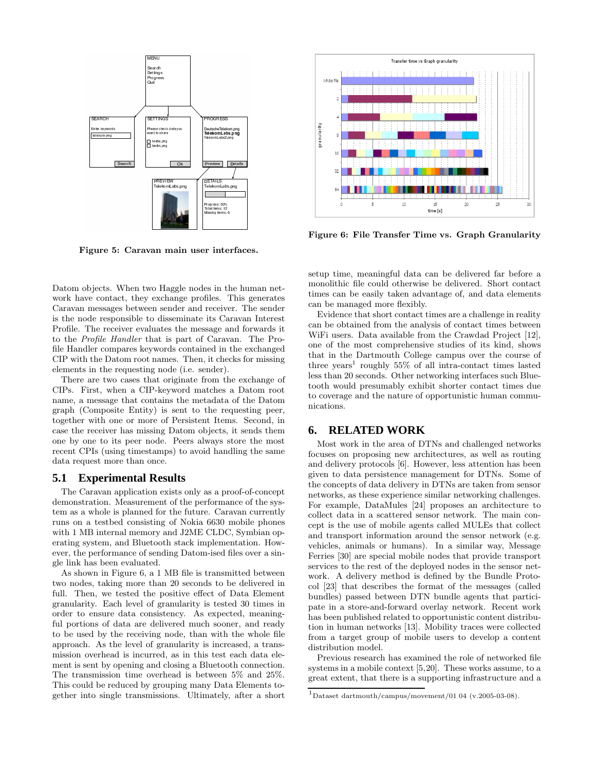

Figure 5: Caravan main user interfaces.

Datom objects. When two Haggle nodes in the human network have contact, they exchange profiles. This generates Caravan messages between sender and receiver. The sender is the node responsible to disseminate its Caravan Interest Profile. The receiver evaluates the message and forwards it to the Profile Handler that is part of Caravan. The Profile Handler compares keywords contained in the exchanged CIP with the Datom root names. Then, it checks for missing elements in the requesting node (i.e. sender).

There are two cases that originate from the exchange of CIPs. First, when a CIP-keyword matches a Datom root name, a message that contains the metadata of the Datom graph (Composite Entity) is sent to the requesting peer, together with one or more of Persistent Items. Second, in case the receiver has missing Datom objects, it sends them one by one to its peer node. Peers always store the most recent CPIs (using timestamps) to avoid handling the same data request more than once.

#### **5.1 Experimental Results**

The Caravan application exists only as a proof-of-concept demonstration. Measurement of the performance of the system as a whole is planned for the future. Caravan currently runs on a testbed consisting of Nokia 6630 mobile phones with 1 MB internal memory and J2ME CLDC, Symbian operating system, and Bluetooth stack implementation. However, the performance of sending Datom-ised files over a single link has been evaluated.

As shown in Figure 6, a 1 MB file is transmitted between two nodes, taking more than 20 seconds to be delivered in full. Then, we tested the positive effect of Data Element granularity. Each level of granularity is tested 30 times in order to ensure data consistency. As expected, meaningful portions of data are delivered much sooner, and ready to be used by the receiving node, than with the whole file approach. As the level of granularity is increased, a transmission overhead is incurred, as in this test each data element is sent by opening and closing a Bluetooth connection. The transmission time overhead is between 5% and 25%. This could be reduced by grouping many Data Elements together into single transmissions. Ultimately, after a short



Figure 6: File Transfer Time vs. Graph Granularity

setup time, meaningful data can be delivered far before a monolithic file could otherwise be delivered. Short contact times can be easily taken advantage of, and data elements can be managed more flexibly.

Evidence that short contact times are a challenge in reality can be obtained from the analysis of contact times between WiFi users. Data available from the Crawdad Project [12], one of the most comprehensive studies of its kind, shows that in the Dartmouth College campus over the course of three years<sup>1</sup> roughly 55% of all intra-contact times lasted less than 20 seconds. Other networking interfaces such Bluetooth would presumably exhibit shorter contact times due to coverage and the nature of opportunistic human communications.

#### **6. RELATED WORK**

Most work in the area of DTNs and challenged networks focuses on proposing new architectures, as well as routing and delivery protocols [6]. However, less attention has been given to data persistence management for DTNs. Some of the concepts of data delivery in DTNs are taken from sensor networks, as these experience similar networking challenges. For example, DataMules [24] proposes an architecture to collect data in a scattered sensor network. The main concept is the use of mobile agents called MULEs that collect and transport information around the sensor network (e.g. vehicles, animals or humans). In a similar way, Message Ferries [30] are special mobile nodes that provide transport services to the rest of the deployed nodes in the sensor network. A delivery method is defined by the Bundle Protocol [23] that describes the format of the messages (called bundles) passed between DTN bundle agents that participate in a store-and-forward overlay network. Recent work has been published related to opportunistic content distribution in human networks [13]. Mobility traces were collected from a target group of mobile users to develop a content distribution model.

Previous research has examined the role of networked file systems in a mobile context [5,20]. These works assume, to a great extent, that there is a supporting infrastructure and a

 $^1$  Dataset dartmouth/campus/movement/01 04 (v.2005-03-08).